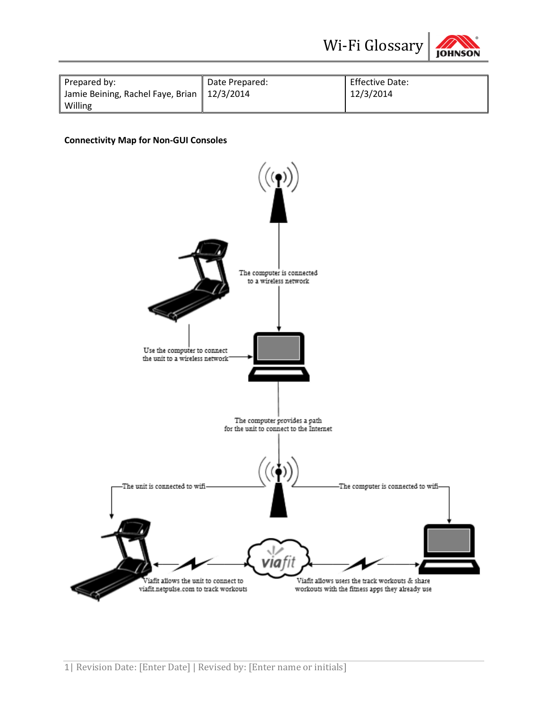



|                                                              |                             | Wi-Fi Glossary                      | <b>JOHNSON</b> |  |
|--------------------------------------------------------------|-----------------------------|-------------------------------------|----------------|--|
| Prepared by:<br>Jamie Beining, Rachel Faye, Brian<br>Willing | Date Prepared:<br>12/3/2014 | <b>Effective Date:</b><br>12/3/2014 |                |  |
| <b>Connectivity Map for Non-GUI Consoles</b>                 |                             |                                     |                |  |

## **Connectivity Map for Non-GUI Consoles**